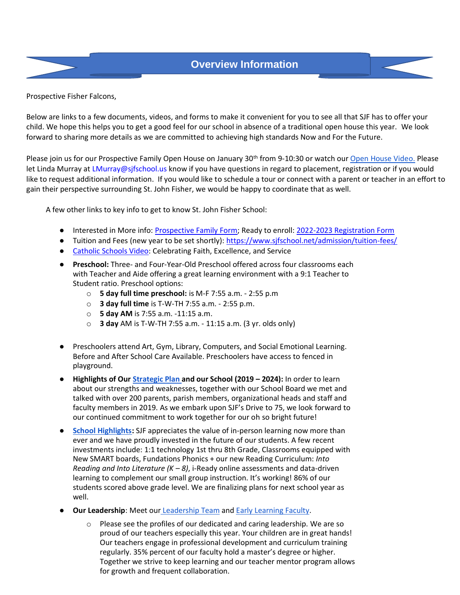## **Overview Information**



Prospective Fisher Falcons,

Below are links to a few documents, videos, and forms to make it convenient for you to see all that SJF has to offer your child. We hope this helps you to get a good feel for our school in absence of a traditional open house this year. We look forward to sharing more details as we are committed to achieving high standards Now and For the Future.

Please join us for our Prospective Family Open House on January 30<sup>th</sup> from 9-10:30 or watch ou[r Open House Video.](https://www.youtube.com/watch?v=IFy8xg1eHEo&feature=youtu.be) Please let Linda Murray at LMurray@sjfschool.us know if you have questions in regard to placement, registration or if you would like to request additional information. If you would like to schedule a tour or connect with a parent or teacher in an effort to gain their perspective surrounding St. John Fisher, we would be happy to coordinate that as well.

A few other links to key info to get to know St. John Fisher School:

- Interested in More info: [Prospective Family Form;](https://docs.google.com/forms/d/11SCvzcqSRLbqjOo0L4l_jDn9YQbMwgAo7mo0hoQhLiY/viewform?edit_requested=true) Ready to enroll: [2022-2023 Registration Form](https://www.sjfschool.net/assets/1/16/Student_Registration_Form_2022-2023.pdf?6268)
- Tuition and Fees (new year to be set shortly):<https://www.sjfschool.net/admission/tuition-fees/>
- [Catholic Schools Video:](https://drive.google.com/file/d/12OgPUmoEFYGAKSTB8Dz5B5-tjHhAN3tX/view) Celebrating Faith, Excellence, and Service
- **Preschool:** Three- and Four-Year-Old Preschool offered across four classrooms each with Teacher and Aide offering a great learning environment with a 9:1 Teacher to Student ratio. Preschool options:
	- o **5 day full time preschool:** is M-F 7:55 a.m. 2:55 p.m
	- o **3 day full time** is T-W-TH 7:55 a.m. 2:55 p.m.
	- o **5 day AM** is 7:55 a.m. -11:15 a.m.
	- o **3 day** AM is T-W-TH 7:55 a.m. 11:15 a.m. (3 yr. olds only)
- Preschoolers attend Art, Gym, Library, Computers, and Social Emotional Learning. Before and After School Care Available. Preschoolers have access to fenced in playground.
- **Highlights of Ou[r Strategic Plan a](https://www.sjfschool.net/assets/1/6/SJF_Strategic_Plan_One_Pager_Final.pdf)nd our School (2019 – 2024):** In order to learn about our strengths and weaknesses, together with our School Board we met and talked with over 200 parents, parish members, organizational heads and staff and faculty members in 2019. As we embark upon SJF's Drive to 75, we look forward to our continued commitment to work together for our oh so bright future!
- **[School Highlights:](https://www.sjfschool.net/assets/1/6/SJFToday.pdf)** SJF appreciates the value of in-person learning now more than ever and we have proudly invested in the future of our students. A few recent investments include: 1:1 technology 1st thru 8th Grade, Classrooms equipped with New SMART boards, Fundations Phonics + our new Reading Curriculum: *Into Reading and Into Literature (K – 8)*, i-Ready online assessments and data-driven learning to complement our small group instruction. It's working! 86% of our students scored above grade level. We are finalizing plans for next school year as well.
- **Our Leadership:** Meet our [Leadership Team](https://www.sjfschool.net/assets/1/6/SJF_Leadership_Bios_2020_Website.docx.pdf) and [Early Learnin](file://///assets/1/6/SJF_Early_Childhood_Bios_2020_v2.3.21_(1).pdf)[g Faculty.](https://www.sjfschool.net/assets/1/6/SJF_Early_Learning_Faculty_Bios.pdf)
	- o Please see the profiles of our dedicated and caring leadership. We are so proud of our teachers especially this year. Your children are in great hands! Our teachers engage in professional development and curriculum training regularly. 35% percent of our faculty hold a master's degree or higher. Together we strive to keep learning and our teacher mentor program allows for growth and frequent collaboration.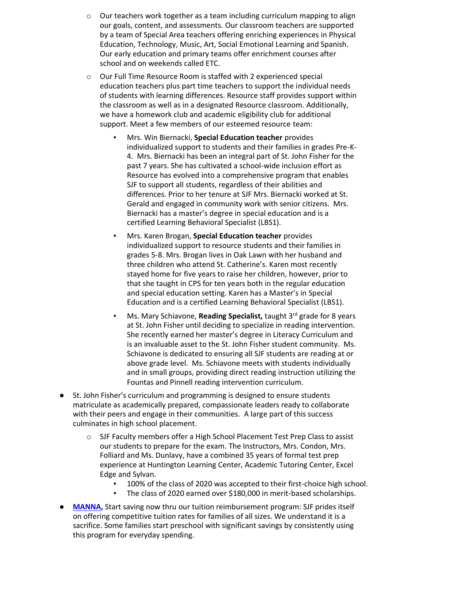- o Our teachers work together as a team including curriculum mapping to align our goals, content, and assessments. Our classroom teachers are supported by a team of Special Area teachers offering enriching experiences in Physical Education, Technology, Music, Art, Social Emotional Learning and Spanish. Our early education and primary teams offer enrichment courses after school and on weekends called ETC.
- o Our Full Time Resource Room is staffed with 2 experienced special education teachers plus part time teachers to support the individual needs of students with learning differences. Resource staff provides support within the classroom as well as in a designated Resource classroom. Additionally, we have a homework club and academic eligibility club for additional support. Meet a few members of our esteemed resource team:
	- **Mrs. Win Biernacki, Special Education teacher** provides individualized support to students and their families in grades Pre-K-4. Mrs. Biernacki has been an integral part of St. John Fisher for the past 7 years. She has cultivated a school-wide inclusion effort as Resource has evolved into a comprehensive program that enables SJF to support all students, regardless of their abilities and differences. Prior to her tenure at SJF Mrs. Biernacki worked at St. Gerald and engaged in community work with senior citizens. Mrs. Biernacki has a master's degree in special education and is a certified Learning Behavioral Specialist (LBS1).
	- **Mrs. Karen Brogan, Special Education teacher** provides individualized support to resource students and their families in grades 5-8. Mrs. Brogan lives in Oak Lawn with her husband and three children who attend St. Catherine's. Karen most recently stayed home for five years to raise her children, however, prior to that she taught in CPS for ten years both in the regular education and special education setting. Karen has a Master's in Special Education and is a certified Learning Behavioral Specialist (LBS1).
	- Ms. Mary Schiavone, **Reading Specialist**, taught 3<sup>rd</sup> grade for 8 years at St. John Fisher until deciding to specialize in reading intervention. She recently earned her master's degree in Literacy Curriculum and is an invaluable asset to the St. John Fisher student community. Ms. Schiavone is dedicated to ensuring all SJF students are reading at or above grade level. Ms. Schiavone meets with students individually and in small groups, providing direct reading instruction utilizing the Fountas and Pinnell reading intervention curriculum.
- St. John Fisher's curriculum and programming is designed to ensure students matriculate as academically prepared, compassionate leaders ready to collaborate with their peers and engage in their communities. A large part of this success culminates in high school placement.
	- o SJF Faculty members offer a High School Placement Test Prep Class to assist our students to prepare for the exam. The Instructors, Mrs. Condon, Mrs. Folliard and Ms. Dunlavy, have a combined 35 years of formal test prep experience at Huntington Learning Center, Academic Tutoring Center, Excel Edge and Sylvan.
		- 100% of the class of 2020 was accepted to their first-choice high school.
		- The class of 2020 earned over \$180,000 in merit-based scholarships.
- **[MANNA,](https://www.sjfschool.net/assets/1/6/Manna_Flyer_January_2020.pdf)** Start saving now thru our tuition reimbursement program: SJF prides itself on offering competitive tuition rates for families of all sizes. We understand it is a sacrifice. Some families start preschool with significant savings by consistently using this program for everyday spending.